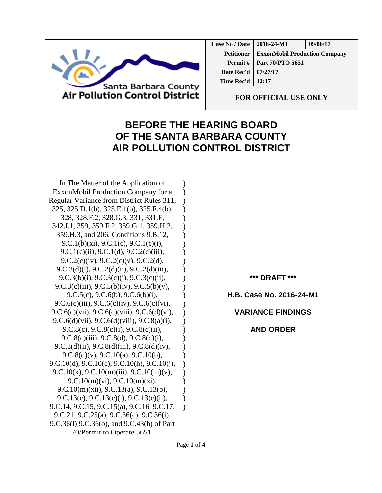

| Case No / Date    | 2016-24-M1                           | 09/06/17 |
|-------------------|--------------------------------------|----------|
| <b>Petitioner</b> | <b>ExxonMobil Production Company</b> |          |
| Permit#           | Part 70/PTO 5651                     |          |
| Date Rec'd        | 07/27/17                             |          |
| Time Rec'd        | 12:17                                |          |
|                   |                                      |          |

**FOR OFFICIAL USE ONLY**

## **BEFORE THE HEARING BOARD OF THE SANTA BARBARA COUNTY AIR POLLUTION CONTROL DISTRICT**

) ) ) ) ) ) ) ) ) ) ) ) ) ) ) ) ) ) ) ) ) ) ) ) ) ) )

In The Matter of the Application of ExxonMobil Production Company for a Regular Variance from District Rules 311, 325, 325.D.1(b), 325.E.1(b), 325.F.4(b), 328, 328.F.2, 328.G.3, 331, 331.F, 342.I.1, 359, 359.F.2, 359.G.1, 359.H.2, 359.H.3, and 206, Conditions 9.B.12, 9.C.1(b)(xi), 9.C.1(c), 9.C.1(c)(i), 9.C.1(c)(ii), 9.C.1(d), 9.C.2(c)(iii), 9.C.2(c)(iv), 9.C.2(c)(v), 9.C.2(d), 9.C.2(d)(i), 9.C.2(d)(ii), 9.C.2(d)(iii), 9.C.3(b)(i), 9.C.3(c)(i), 9.C.3(c)(ii), 9.C.3(c)(iii), 9.C.5(b)(iv), 9.C.5(b)(v), 9.C.5(c), 9.C.6(b), 9.C.6(b)(i), 9.C.6(c)(iii), 9.C.6(c)(iv), 9.C.6(c)(vi), 9.C.6(c)(vii), 9.C.6(c)(viii), 9.C.6(d)(vi), 9.C.6(d)(vii), 9.C.6(d)(viii), 9.C.8(a)(i), 9.C.8(c), 9.C.8(c)(i), 9.C.8(c)(ii), 9.C.8(c)(iii), 9.C.8(d), 9.C.8(d)(i), 9.C.8(d)(ii), 9.C.8(d)(iii), 9.C.8(d)(iv), 9.C.8(d)(v), 9.C.10(a), 9.C.10(b), 9.C.10(d), 9.C.10(e), 9.C.10(h), 9.C.10(j), 9.C.10(k), 9.C.10(m)(iii), 9.C.10(m)(v), 9.C.10(m)(vi), 9.C.10(m)(xi), 9.C.10(m)(xii), 9.C.13(a), 9.C.13(b), 9.C.13(c), 9.C.13(c)(i), 9.C.13(c)(ii), 9.C.14, 9.C.15, 9.C.15(a), 9.C.16, 9.C.17, 9.C.21, 9.C.25(a), 9.C.36(c), 9.C.36(i), 9.C.36(l) 9.C.36(o), and 9.C.43(b) of Part 70/Permit to Operate 5651.

**\*\*\* DRAFT \*\*\***

**H.B. Case No. 2016-24-M1**

**VARIANCE FINDINGS**

**AND ORDER**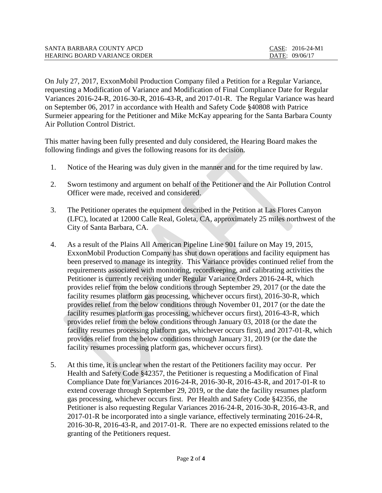| SANTA BARBARA COUNTY APCD           | CASE: 2016-24-M1 |
|-------------------------------------|------------------|
| <b>HEARING BOARD VARIANCE ORDER</b> | DATE: 09/06/17   |

On July 27, 2017, ExxonMobil Production Company filed a Petition for a Regular Variance, requesting a Modification of Variance and Modification of Final Compliance Date for Regular Variances 2016-24-R, 2016-30-R, 2016-43-R, and 2017-01-R. The Regular Variance was heard on September 06, 2017 in accordance with Health and Safety Code §40808 with Patrice Surmeier appearing for the Petitioner and Mike McKay appearing for the Santa Barbara County Air Pollution Control District.

This matter having been fully presented and duly considered, the Hearing Board makes the following findings and gives the following reasons for its decision.

- 1. Notice of the Hearing was duly given in the manner and for the time required by law.
- 2. Sworn testimony and argument on behalf of the Petitioner and the Air Pollution Control Officer were made, received and considered.
- 3. The Petitioner operates the equipment described in the Petition at Las Flores Canyon (LFC), located at 12000 Calle Real, Goleta, CA, approximately 25 miles northwest of the City of Santa Barbara, CA.
- 4. As a result of the Plains All American Pipeline Line 901 failure on May 19, 2015, ExxonMobil Production Company has shut down operations and facility equipment has been preserved to manage its integrity. This Variance provides continued relief from the requirements associated with monitoring, recordkeeping, and calibrating activities the Petitioner is currently receiving under Regular Variance Orders 2016-24-R, which provides relief from the below conditions through September 29, 2017 (or the date the facility resumes platform gas processing, whichever occurs first), 2016-30-R, which provides relief from the below conditions through November 01, 2017 (or the date the facility resumes platform gas processing, whichever occurs first), 2016-43-R, which provides relief from the below conditions through January 03, 2018 (or the date the facility resumes processing platform gas, whichever occurs first), and 2017-01-R, which provides relief from the below conditions through January 31, 2019 (or the date the facility resumes processing platform gas, whichever occurs first).
- 5. At this time, it is unclear when the restart of the Petitioners facility may occur. Per Health and Safety Code §42357, the Petitioner is requesting a Modification of Final Compliance Date for Variances 2016-24-R, 2016-30-R, 2016-43-R, and 2017-01-R to extend coverage through September 29, 2019, or the date the facility resumes platform gas processing, whichever occurs first. Per Health and Safety Code §42356, the Petitioner is also requesting Regular Variances 2016-24-R, 2016-30-R, 2016-43-R, and 2017-01-R be incorporated into a single variance, effectively terminating 2016-24-R, 2016-30-R, 2016-43-R, and 2017-01-R. There are no expected emissions related to the granting of the Petitioners request.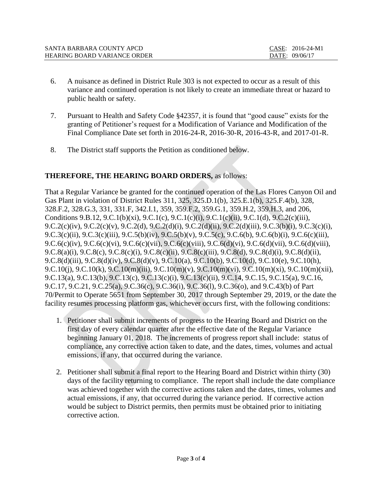| SANTA BARBARA COUNTY APCD    | CASE: 2016-24-M1 |
|------------------------------|------------------|
| HEARING BOARD VARIANCE ORDER | DATE: 09/06/17   |

- 6. A nuisance as defined in District Rule 303 is not expected to occur as a result of this variance and continued operation is not likely to create an immediate threat or hazard to public health or safety.
- 7. Pursuant to Health and Safety Code §42357, it is found that "good cause" exists for the granting of Petitioner's request for a Modification of Variance and Modification of the Final Compliance Date set forth in 2016-24-R, 2016-30-R, 2016-43-R, and 2017-01-R.
- 8. The District staff supports the Petition as conditioned below.

## **THEREFORE, THE HEARING BOARD ORDERS,** as follows:

That a Regular Variance be granted for the continued operation of the Las Flores Canyon Oil and Gas Plant in violation of District Rules 311, 325, 325.D.1(b), 325.E.1(b), 325.F.4(b), 328, 328.F.2, 328.G.3, 331, 331.F, 342.I.1, 359, 359.F.2, 359.G.1, 359.H.2, 359.H.3, and 206, Conditions 9.B.12, 9.C.1(b)(xi), 9.C.1(c), 9.C.1(c)(i), 9.C.1(c)(ii), 9.C.1(d), 9.C.2(c)(iii), 9.C.2(c)(iv), 9.C.2(c)(v), 9.C.2(d), 9.C.2(d)(i), 9.C.2(d)(ii), 9.C.2(d)(iii), 9.C.3(b)(i), 9.C.3(c)(i), 9.C.3(c)(ii), 9.C.3(c)(iii), 9.C.5(b)(iv), 9.C.5(b)(v), 9.C.5(c), 9.C.6(b), 9.C.6(b)(i), 9.C.6(c)(iii), 9.C.6(c)(iv), 9.C.6(c)(vi), 9.C.6(c)(vii), 9.C.6(c)(viii), 9.C.6(d)(vi), 9.C.6(d)(vii), 9.C.6(d)(viii), 9.C.8(a)(i), 9.C.8(c), 9.C.8(c)(i), 9.C.8(c)(ii), 9.C.8(c)(iii), 9.C.8(d), 9.C.8(d)(i), 9.C.8(d)(ii), 9.C.8(d)(iii), 9.C.8(d)(iv), 9.C.8(d)(v), 9.C.10(a), 9.C.10(b), 9.C.10(d), 9.C.10(e), 9.C.10(h), 9.C.10(j), 9.C.10(k), 9.C.10(m)(iii), 9.C.10(m)(v), 9.C.10(m)(vi), 9.C.10(m)(xi), 9.C.10(m)(xii), 9.C.13(a), 9.C.13(b), 9.C.13(c), 9.C.13(c)(i), 9.C.13(c)(ii), 9.C.14, 9.C.15, 9.C.15(a), 9.C.16, 9.C.17, 9.C.21, 9.C.25(a), 9.C.36(c), 9.C.36(i), 9.C.36(l), 9.C.36(o), and 9.C.43(b) of Part 70/Permit to Operate 5651 from September 30, 2017 through September 29, 2019, or the date the facility resumes processing platform gas, whichever occurs first, with the following conditions:

- 1. Petitioner shall submit increments of progress to the Hearing Board and District on the first day of every calendar quarter after the effective date of the Regular Variance beginning January 01, 2018. The increments of progress report shall include: status of compliance, any corrective action taken to date, and the dates, times, volumes and actual emissions, if any, that occurred during the variance.
- 2. Petitioner shall submit a final report to the Hearing Board and District within thirty (30) days of the facility returning to compliance. The report shall include the date compliance was achieved together with the corrective actions taken and the dates, times, volumes and actual emissions, if any, that occurred during the variance period. If corrective action would be subject to District permits, then permits must be obtained prior to initiating corrective action.